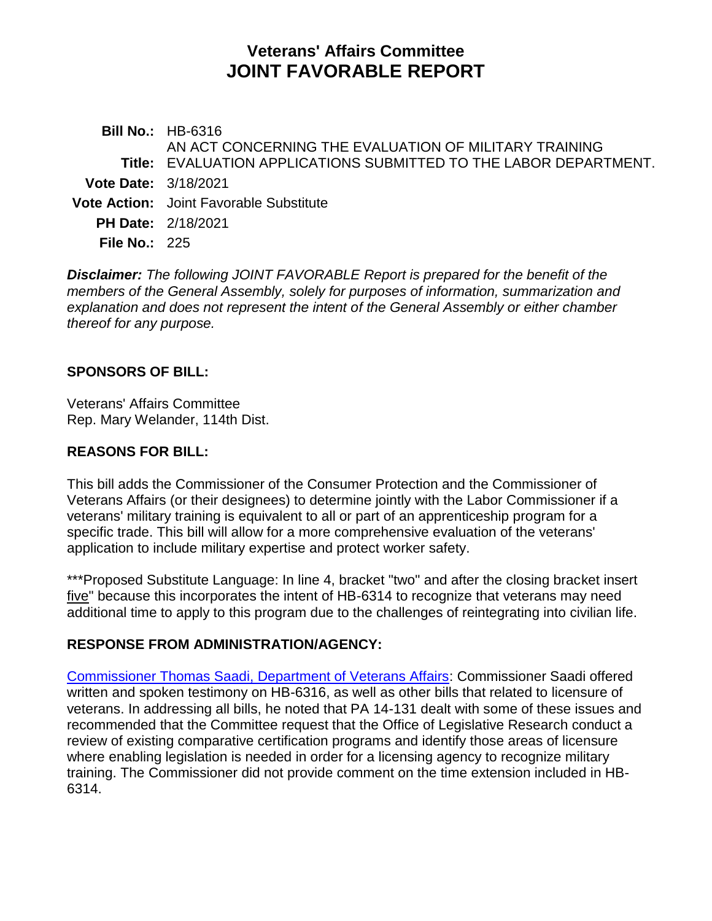# **Veterans' Affairs Committee JOINT FAVORABLE REPORT**

**Bill No.:** HB-6316 **Title:** EVALUATION APPLICATIONS SUBMITTED TO THE LABOR DEPARTMENT. AN ACT CONCERNING THE EVALUATION OF MILITARY TRAINING **Vote Date:** 3/18/2021 **Vote Action:** Joint Favorable Substitute **PH Date:** 2/18/2021 **File No.:** 225

*Disclaimer: The following JOINT FAVORABLE Report is prepared for the benefit of the members of the General Assembly, solely for purposes of information, summarization and explanation and does not represent the intent of the General Assembly or either chamber thereof for any purpose.*

#### **SPONSORS OF BILL:**

Veterans' Affairs Committee Rep. Mary Welander, 114th Dist.

### **REASONS FOR BILL:**

This bill adds the Commissioner of the Consumer Protection and the Commissioner of Veterans Affairs (or their designees) to determine jointly with the Labor Commissioner if a veterans' military training is equivalent to all or part of an apprenticeship program for a specific trade. This bill will allow for a more comprehensive evaluation of the veterans' application to include military expertise and protect worker safety.

\*\*\*Proposed Substitute Language: In line 4, bracket "two" and after the closing bracket insert five" because this incorporates the intent of HB-6314 to recognize that veterans may need additional time to apply to this program due to the challenges of reintegrating into civilian life.

## **RESPONSE FROM ADMINISTRATION/AGENCY:**

[Commissioner Thomas Saadi, Department of Veterans Affairs:](https://www.cga.ct.gov/2021/vadata/tmy/2021HB-06316-R000218-Saadi,%20Thomas%20J.,%20Commissioner-Department%20of%20Veterans%20Affairs-Mixed-TMY.PDF) Commissioner Saadi offered written and spoken testimony on HB-6316, as well as other bills that related to licensure of veterans. In addressing all bills, he noted that PA 14-131 dealt with some of these issues and recommended that the Committee request that the Office of Legislative Research conduct a review of existing comparative certification programs and identify those areas of licensure where enabling legislation is needed in order for a licensing agency to recognize military training. The Commissioner did not provide comment on the time extension included in HB-6314.